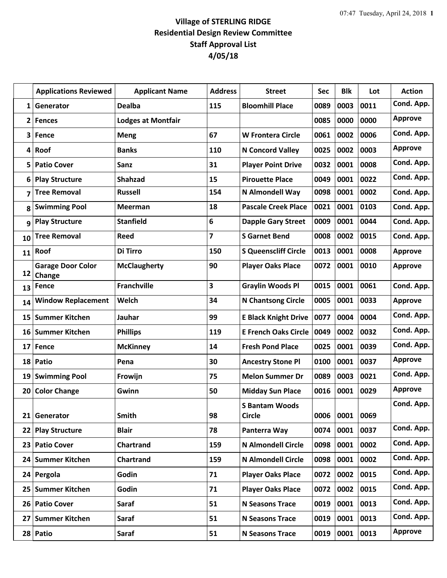## **Village of STERLING RIDGE Residential Design Review Committee Staff Approval List 4/05/18**

|                 | <b>Applications Reviewed</b>       | <b>Applicant Name</b>     | <b>Address</b> | <b>Street</b>                          | <b>Sec</b> | <b>Blk</b> | Lot  | <b>Action</b>  |
|-----------------|------------------------------------|---------------------------|----------------|----------------------------------------|------------|------------|------|----------------|
| 1               | Generator                          | <b>Dealba</b>             | 115            | <b>Bloomhill Place</b>                 | 0089       | 0003       | 0011 | Cond. App.     |
| $\overline{2}$  | <b>Fences</b>                      | <b>Lodges at Montfair</b> |                |                                        | 0085       | 0000       | 0000 | <b>Approve</b> |
| 3               | <b>Fence</b>                       | <b>Meng</b>               | 67             | <b>W Frontera Circle</b>               | 0061       | 0002       | 0006 | Cond. App.     |
| $\overline{4}$  | Roof                               | <b>Banks</b>              | 110            | <b>N Concord Valley</b>                | 0025       | 0002       | 0003 | <b>Approve</b> |
| 5               | <b>Patio Cover</b>                 | <b>Sanz</b>               | 31             | <b>Player Point Drive</b>              | 0032       | 0001       | 0008 | Cond. App.     |
| 6               | <b>Play Structure</b>              | <b>Shahzad</b>            | 15             | <b>Pirouette Place</b>                 | 0049       | 0001       | 0022 | Cond. App.     |
| 7               | <b>Tree Removal</b>                | <b>Russell</b>            | 154            | N Almondell Way                        | 0098       | 0001       | 0002 | Cond. App.     |
| 8               | <b>Swimming Pool</b>               | <b>Meerman</b>            | 18             | <b>Pascale Creek Place</b>             | 0021       | 0001       | 0103 | Cond. App.     |
| 9               | <b>Play Structure</b>              | <b>Stanfield</b>          | 6              | <b>Dapple Gary Street</b>              | 0009       | 0001       | 0044 | Cond. App.     |
| 10              | <b>Tree Removal</b>                | <b>Reed</b>               | $\overline{7}$ | <b>S</b> Garnet Bend                   | 0008       | 0002       | 0015 | Cond. App.     |
| 11              | Roof                               | Di Tirro                  | 150            | <b>S Queenscliff Circle</b>            | 0013       | 0001       | 0008 | <b>Approve</b> |
| 12              | <b>Garage Door Color</b><br>Change | <b>McClaugherty</b>       | 90             | <b>Player Oaks Place</b>               | 0072       | 0001       | 0010 | <b>Approve</b> |
| 13              | <b>Fence</b>                       | <b>Franchville</b>        | 3              | <b>Graylin Woods Pl</b>                | 0015       | 0001       | 0061 | Cond. App.     |
| 14              | <b>Window Replacement</b>          | Welch                     | 34             | <b>N Chantsong Circle</b>              | 0005       | 0001       | 0033 | <b>Approve</b> |
| 15              | <b>Summer Kitchen</b>              | Jauhar                    | 99             | <b>E Black Knight Drive</b>            | 0077       | 0004       | 0004 | Cond. App.     |
| 16              | <b>Summer Kitchen</b>              | <b>Phillips</b>           | 119            | <b>E French Oaks Circle</b>            | 0049       | 0002       | 0032 | Cond. App.     |
| 17              | <b>Fence</b>                       | <b>McKinney</b>           | 14             | <b>Fresh Pond Place</b>                | 0025       | 0001       | 0039 | Cond. App.     |
| 18              | Patio                              | Pena                      | 30             | <b>Ancestry Stone Pl</b>               | 0100       | 0001       | 0037 | <b>Approve</b> |
| 19 <sup>1</sup> | <b>Swimming Pool</b>               | Frowijn                   | 75             | <b>Melon Summer Dr</b>                 | 0089       | 0003       | 0021 | Cond. App.     |
| 20              | <b>Color Change</b>                | Gwinn                     | 50             | <b>Midday Sun Place</b>                | 0016       | 0001       | 0029 | <b>Approve</b> |
| 21              | Generator                          | <b>Smith</b>              | 98             | <b>S Bantam Woods</b><br><b>Circle</b> | 0006       | 0001       | 0069 | Cond. App.     |
| 22              | <b>Play Structure</b>              | <b>Blair</b>              | 78             | Panterra Way                           | 0074       | 0001       | 0037 | Cond. App.     |
| 23              | <b>Patio Cover</b>                 | <b>Chartrand</b>          | 159            | <b>N Almondell Circle</b>              | 0098       | 0001       | 0002 | Cond. App.     |
|                 | 24 Summer Kitchen                  | <b>Chartrand</b>          | 159            | <b>N Almondell Circle</b>              | 0098       | 0001       | 0002 | Cond. App.     |
| 24              | Pergola                            | Godin                     | 71             | <b>Player Oaks Place</b>               | 0072       | 0002       | 0015 | Cond. App.     |
| 25              | <b>Summer Kitchen</b>              | Godin                     | 71             | <b>Player Oaks Place</b>               | 0072       | 0002       | 0015 | Cond. App.     |
| 26 <sup>2</sup> | <b>Patio Cover</b>                 | <b>Saraf</b>              | 51             | <b>N Seasons Trace</b>                 | 0019       | 0001       | 0013 | Cond. App.     |
| 27              | <b>Summer Kitchen</b>              | <b>Saraf</b>              | 51             | <b>N Seasons Trace</b>                 | 0019       | 0001       | 0013 | Cond. App.     |
|                 | 28 Patio                           | <b>Saraf</b>              | 51             | N Seasons Trace                        | 0019       | 0001       | 0013 | <b>Approve</b> |